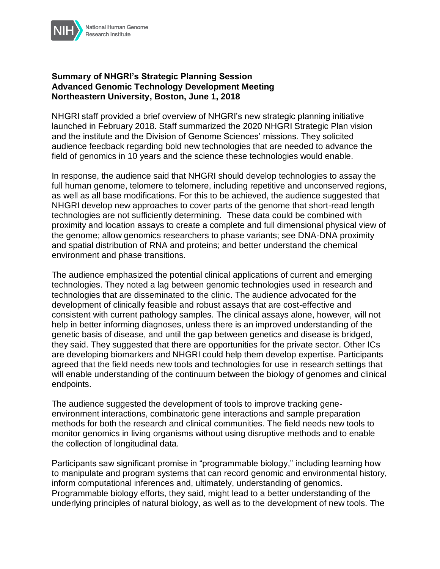

## **Summary of NHGRI's Strategic Planning Session Advanced Genomic Technology Development Meeting Northeastern University, Boston, June 1, 2018**

NHGRI staff provided a brief overview of NHGRI's new strategic planning initiative launched in February 2018. Staff summarized the 2020 NHGRI Strategic Plan vision and the institute and the Division of Genome Sciences' missions. They solicited audience feedback regarding bold new technologies that are needed to advance the field of genomics in 10 years and the science these technologies would enable.

In response, the audience said that NHGRI should develop technologies to assay the full human genome, telomere to telomere, including repetitive and unconserved regions, as well as all base modifications. For this to be achieved, the audience suggested that NHGRI develop new approaches to cover parts of the genome that short-read length technologies are not sufficiently determining. These data could be combined with proximity and location assays to create a complete and full dimensional physical view of the genome; allow genomics researchers to phase variants; see DNA-DNA proximity and spatial distribution of RNA and proteins; and better understand the chemical environment and phase transitions.

The audience emphasized the potential clinical applications of current and emerging technologies. They noted a lag between genomic technologies used in research and technologies that are disseminated to the clinic. The audience advocated for the development of clinically feasible and robust assays that are cost-effective and consistent with current pathology samples. The clinical assays alone, however, will not help in better informing diagnoses, unless there is an improved understanding of the genetic basis of disease, and until the gap between genetics and disease is bridged, they said. They suggested that there are opportunities for the private sector. Other ICs are developing biomarkers and NHGRI could help them develop expertise. Participants agreed that the field needs new tools and technologies for use in research settings that will enable understanding of the continuum between the biology of genomes and clinical endpoints.

The audience suggested the development of tools to improve tracking geneenvironment interactions, combinatoric gene interactions and sample preparation methods for both the research and clinical communities. The field needs new tools to monitor genomics in living organisms without using disruptive methods and to enable the collection of longitudinal data.

Participants saw significant promise in "programmable biology," including learning how to manipulate and program systems that can record genomic and environmental history, inform computational inferences and, ultimately, understanding of genomics. Programmable biology efforts, they said, might lead to a better understanding of the underlying principles of natural biology, as well as to the development of new tools. The